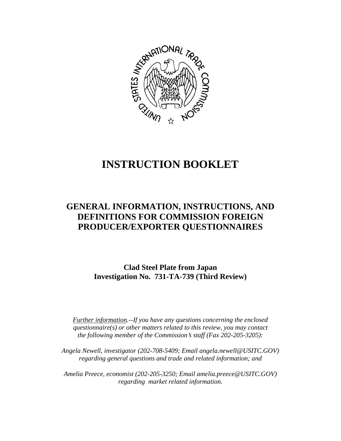

# **INSTRUCTION BOOKLET**

## **GENERAL INFORMATION, INSTRUCTIONS, AND DEFINITIONS FOR COMMISSION FOREIGN PRODUCER/EXPORTER QUESTIONNAIRES**

**Clad Steel Plate from Japan Investigation No. 731-TA-739 (Third Review)**

*Further information.--If you have any questions concerning the enclosed questionnaire(s) or other matters related to this review, you may contact the following member of the Commission*=*s staff (Fax 202-205-3205):* 

*Angela Newell, investigator (202-708-5409; Email angela.newell@USITC.GOV) regarding general questions and trade and related information; and* 

 *Amelia Preece, economist (202-205-3250; Email amelia.preece@USITC.GOV) regarding market related information.*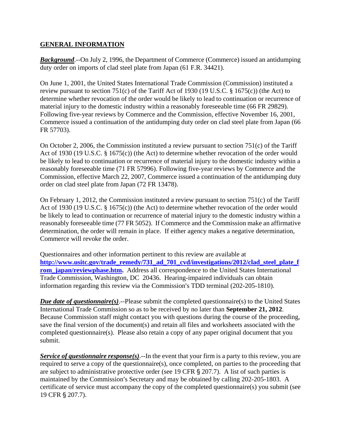#### **GENERAL INFORMATION**

*Background*.--On July 2, 1996, the Department of Commerce (Commerce) issued an antidumping duty order on imports of clad steel plate from Japan (61 F.R. 34421).

On June 1, 2001, the United States International Trade Commission (Commission) instituted a review pursuant to section 751(c) of the Tariff Act of 1930 (19 U.S.C. § 1675(c)) (the Act) to determine whether revocation of the order would be likely to lead to continuation or recurrence of material injury to the domestic industry within a reasonably foreseeable time (66 FR 29829). Following five-year reviews by Commerce and the Commission, effective November 16, 2001, Commerce issued a continuation of the antidumping duty order on clad steel plate from Japan (66 FR 57703).

On October 2, 2006, the Commission instituted a review pursuant to section 751(c) of the Tariff Act of 1930 (19 U.S.C. § 1675(c)) (the Act) to determine whether revocation of the order would be likely to lead to continuation or recurrence of material injury to the domestic industry within a reasonably foreseeable time (71 FR 57996). Following five-year reviews by Commerce and the Commission, effective March 22, 2007, Commerce issued a continuation of the antidumping duty order on clad steel plate from Japan (72 FR 13478).

On February 1, 2012, the Commission instituted a review pursuant to section 751(c) of the Tariff Act of 1930 (19 U.S.C. § 1675(c)) (the Act) to determine whether revocation of the order would be likely to lead to continuation or recurrence of material injury to the domestic industry within a reasonably foreseeable time (77 FR 5052). If Commerce and the Commission make an affirmative determination, the order will remain in place. If either agency makes a negative determination, Commerce will revoke the order.

Questionnaires and other information pertinent to this review are available at **http://www.usitc.gov/trade\_remedy/731\_ad\_701\_cvd/investigations/2012/clad\_steel\_plate\_f rom** japan/reviewphase.htm. Address all correspondence to the United States International Trade Commission, Washington, DC 20436. Hearing-impaired individuals can obtain information regarding this review via the Commission's TDD terminal (202-205-1810).

*Due date of questionnaire(s)*.--Please submit the completed questionnaire(s) to the United States International Trade Commission so as to be received by no later than **September 21, 2012**. Because Commission staff might contact you with questions during the course of the proceeding, save the final version of the document(s) and retain all files and worksheets associated with the completed questionnaire(s). Please also retain a copy of any paper original document that you submit.

*Service of questionnaire response(s)*.--In the event that your firm is a party to this review, you are required to serve a copy of the questionnaire(s), once completed, on parties to the proceeding that are subject to administrative protective order (see 19 CFR  $\S$  207.7). A list of such parties is maintained by the Commission's Secretary and may be obtained by calling 202-205-1803. A certificate of service must accompany the copy of the completed questionnaire(s) you submit (see 19 CFR § 207.7).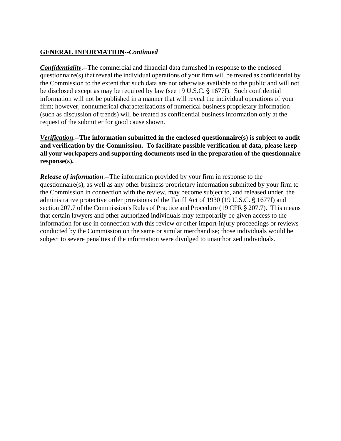### **GENERAL INFORMATION--***Continued*

*Confidentiality*.--The commercial and financial data furnished in response to the enclosed questionnaire(s) that reveal the individual operations of your firm will be treated as confidential by the Commission to the extent that such data are not otherwise available to the public and will not be disclosed except as may be required by law (see 19 U.S.C. § 1677f). Such confidential information will not be published in a manner that will reveal the individual operations of your firm; however, nonnumerical characterizations of numerical business proprietary information (such as discussion of trends) will be treated as confidential business information only at the request of the submitter for good cause shown.

*Verification***.--The information submitted in the enclosed questionnaire(s) is subject to audit and verification by the Commission. To facilitate possible verification of data, please keep all your workpapers and supporting documents used in the preparation of the questionnaire response(s).**

*Release of information*.--The information provided by your firm in response to the questionnaire(s), as well as any other business proprietary information submitted by your firm to the Commission in connection with the review, may become subject to, and released under, the administrative protective order provisions of the Tariff Act of 1930 (19 U.S.C. § 1677f) and section 207.7 of the Commission's Rules of Practice and Procedure (19 CFR § 207.7). This means that certain lawyers and other authorized individuals may temporarily be given access to the information for use in connection with this review or other import-injury proceedings or reviews conducted by the Commission on the same or similar merchandise; those individuals would be subject to severe penalties if the information were divulged to unauthorized individuals.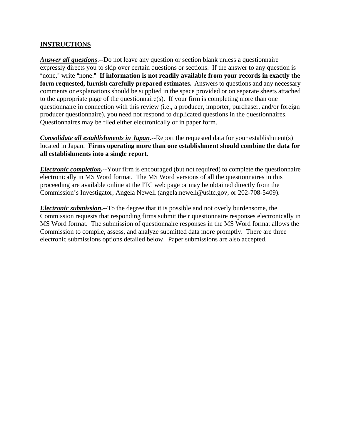#### **INSTRUCTIONS**

*Answer all questions*.--Do not leave any question or section blank unless a questionnaire expressly directs you to skip over certain questions or sections. If the answer to any question is "none," write "none." If information is not readily available from your records in exactly the **form requested, furnish carefully prepared estimates.** Answers to questions and any necessary comments or explanations should be supplied in the space provided or on separate sheets attached to the appropriate page of the questionnaire(s). If your firm is completing more than one questionnaire in connection with this review (i.e., a producer, importer, purchaser, and/or foreign producer questionnaire), you need not respond to duplicated questions in the questionnaires. Questionnaires may be filed either electronically or in paper form.

*Consolidate all establishments in Japan*.--Report the requested data for your establishment(s) located in Japan. **Firms operating more than one establishment should combine the data for all establishments into a single report.** 

*Electronic completion***.--**Your firm is encouraged (but not required) to complete the questionnaire electronically in MS Word format. The MS Word versions of all the questionnaires in this proceeding are available online at the ITC web page or may be obtained directly from the Commission's Investigator, Angela Newell (angela.newell@usitc.gov, or 202-708-5409).

*Electronic submission***.--**To the degree that it is possible and not overly burdensome, the Commission requests that responding firms submit their questionnaire responses electronically in MS Word format. The submission of questionnaire responses in the MS Word format allows the Commission to compile, assess, and analyze submitted data more promptly. There are three electronic submissions options detailed below. Paper submissions are also accepted.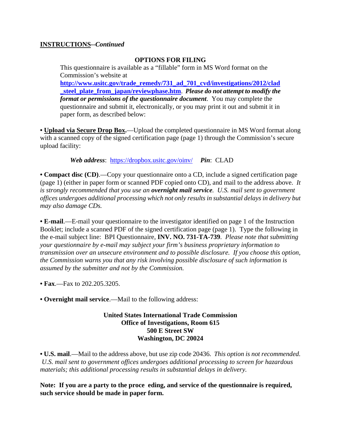#### **INSTRUCTIONS--***Continued*

#### **OPTIONS FOR FILING**

This questionnaire is available as a "fillable" form in MS Word format on the Commission's website at **http://www.usitc.gov/trade\_remedy/731\_ad\_701\_cvd/investigations/2012/clad \_steel\_plate\_from\_japan/reviewphase.htm**. *Please do not attempt to modify the format or permissions of the questionnaire document*. You may complete the questionnaire and submit it, electronically, or you may print it out and submit it in paper form, as described below:

• **Upload via Secure Drop Box.**—Upload the completed questionnaire in MS Word format along with a scanned copy of the signed certification page (page 1) through the Commission's secure upload facility:

*Web address*: https://dropbox.usitc.gov/oinv/ *Pin*: CLAD

**• Compact disc (CD)**.—Copy your questionnaire onto a CD, include a signed certification page (page 1) (either in paper form or scanned PDF copied onto CD), and mail to the address above. *It is strongly recommended that you use an overnight mail service. U.S. mail sent to government offices undergoes additional processing which not only results in substantial delays in delivery but may also damage CDs.* 

**• E-mail**.—E-mail your questionnaire to the investigator identified on page 1 of the Instruction Booklet; include a scanned PDF of the signed certification page (page 1). Type the following in the e-mail subject line: BPI Questionnaire, **INV. NO. 731-TA-739**. *Please note that submitting your questionnaire by e-mail may subject your firm's business proprietary information to transmission over an unsecure environment and to possible disclosure. If you choose this option, the Commission warns you that any risk involving possible disclosure of such information is assumed by the submitter and not by the Commission.* 

- **Fax**.—Fax to 202.205.3205.
- **Overnight mail service**.—Mail to the following address:

#### **United States International Trade Commission Office of Investigations, Room 615 500 E Street SW Washington, DC 20024**

**• U.S. mail**.—Mail to the address above, but use zip code 20436. *This option is not recommended. U.S. mail sent to government offices undergoes additional processing to screen for hazardous materials; this additional processing results in substantial delays in delivery.* 

**Note: If you are a party to the proce eding, and service of the questionnaire is required, such service should be made in paper form.**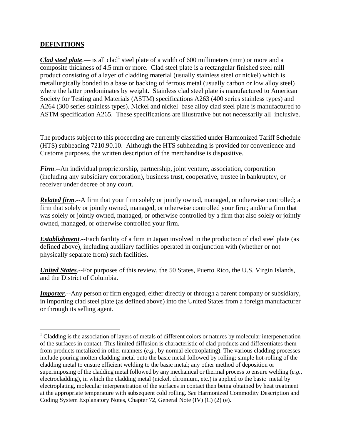#### **DEFINITIONS**

 $\overline{a}$ 

*Clad steel plate*.— is all clad<sup>1</sup> steel plate of a width of 600 millimeters (mm) or more and a composite thickness of 4.5 mm or more. Clad steel plate is a rectangular finished steel mill product consisting of a layer of cladding material (usually stainless steel or nickel) which is metallurgically bonded to a base or backing of ferrous metal (usually carbon or low alloy steel) where the latter predominates by weight. Stainless clad steel plate is manufactured to American Society for Testing and Materials (ASTM) specifications A263 (400 series stainless types) and A264 (300 series stainless types). Nickel and nickel–base alloy clad steel plate is manufactured to ASTM specification A265. These specifications are illustrative but not necessarily all–inclusive.

The products subject to this proceeding are currently classified under Harmonized Tariff Schedule (HTS) subheading 7210.90.10. Although the HTS subheading is provided for convenience and Customs purposes, the written description of the merchandise is dispositive.

*Firm*.--An individual proprietorship, partnership, joint venture, association, corporation (including any subsidiary corporation), business trust, cooperative, trustee in bankruptcy, or receiver under decree of any court.

*Related firm*.--A firm that your firm solely or jointly owned, managed, or otherwise controlled; a firm that solely or jointly owned, managed, or otherwise controlled your firm; and/or a firm that was solely or jointly owned, managed, or otherwise controlled by a firm that also solely or jointly owned, managed, or otherwise controlled your firm.

*Establishment*.--Each facility of a firm in Japan involved in the production of clad steel plate (as defined above), including auxiliary facilities operated in conjunction with (whether or not physically separate from) such facilities.

*United States*.--For purposes of this review, the 50 States, Puerto Rico, the U.S. Virgin Islands, and the District of Columbia.

*Importer*.--Any person or firm engaged, either directly or through a parent company or subsidiary, in importing clad steel plate (as defined above) into the United States from a foreign manufacturer or through its selling agent.

<sup>&</sup>lt;sup>1</sup> Cladding is the association of layers of metals of different colors or natures by molecular interpenetration of the surfaces in contact. This limited diffusion is characteristic of clad products and differentiates them from products metalized in other manners (*e.g.*, by normal electroplating). The various cladding processes include pouring molten cladding metal onto the basic metal followed by rolling; simple hot-rolling of the cladding metal to ensure efficient welding to the basic metal; any other method of deposition or superimposing of the cladding metal followed by any mechanical or thermal process to ensure welding (*e.g.*, electrocladding), in which the cladding metal (nickel, chromium, etc.) is applied to the basic metal by electroplating, molecular interpenetration of the surfaces in contact then being obtained by heat treatment at the appropriate temperature with subsequent cold rolling. *See* Harmonized Commodity Description and Coding System Explanatory Notes, Chapter 72, General Note (IV) (C) (2) (e).